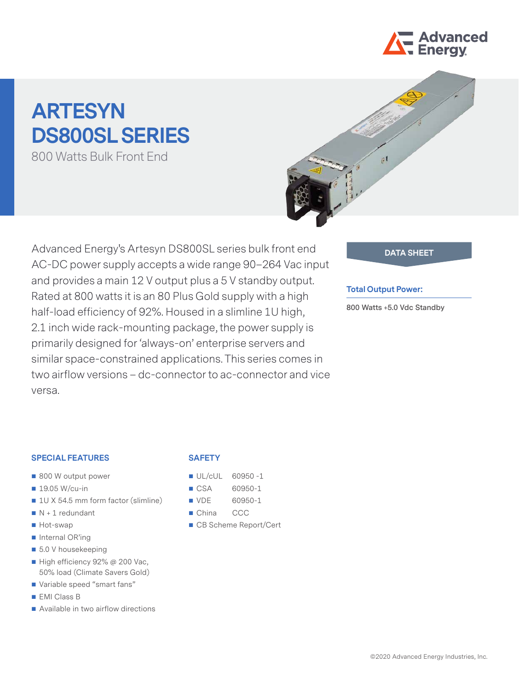

# **ARTESYN DS800SL SERIES**

800 Watts Bulk Front End



Advanced Energy's Artesyn DS800SL series bulk front end **DATA SHEET** AC-DC power supply accepts a wide range 90–264 Vac input and provides a main 12 V output plus a 5 V standby output. Rated at 800 watts it is an 80 Plus Gold supply with a high half-load efficiency of 92%. Housed in a slimline 1U high, 2.1 inch wide rack-mounting package, the power supply is primarily designed for 'always-on' enterprise servers and similar space-constrained applications. This series comes in two airflow versions – dc-connector to ac-connector and vice versa.

#### **Total Output Power:**

**800 Watts +5.0 Vdc Standby**

#### **SPECIAL FEATURES**

- 800 W output power
- $19.05$  W/cu-in
- 1U X 54.5 mm form factor (slimline)
- $N + 1$  redundant
- Hot-swap
- Internal OR'ing
- 5.0 V housekeeping
- High efficiency 92% @ 200 Vac, 50% load (Climate Savers Gold)
- Variable speed "smart fans"
- **EMI Class B**
- Available in two airflow directions

#### **SAFETY**

- $\blacksquare$  UL/cUL 60950-1
- CSA 60950-1
- VDE 60950-1
- China CCC
- CB Scheme Report/Cert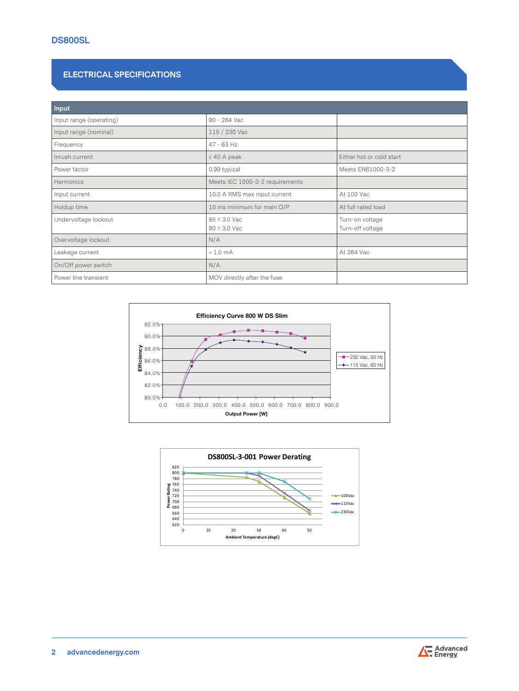# **ELECTRICAL SPECIFICATIONS**

| Input                   |                                 |                                     |
|-------------------------|---------------------------------|-------------------------------------|
| Input range (operating) | 90 - 264 Vac                    |                                     |
| Input range (nominal)   | 115 / 230 Vac                   |                                     |
| Frequency               | $47 - 63$ Hz                    |                                     |
| Inrush current          | $\leq$ 40 A peak                | Either hot or cold start            |
| Power factor            | 0.99 typical                    | Meets EN61000-3-2                   |
| Harmonics               | Meets IEC 1000-3-2 requirements |                                     |
| Input current           | 10.0 A RMS max input current    | At 100 Vac                          |
| Holdup time             | 10 ms minimum for main O/P      | At full rated load                  |
| Undervoltage lockout    | 85 ± 3.0 Vac<br>80 ± 3.0 Vac    | Turn-on voltage<br>Turn-off voltage |
| Overvoltage lockout     | N/A                             |                                     |
| Leakage current         | $< 1.0$ mA                      | At 264 Vac                          |
| On/Off power switch     | N/A                             |                                     |
| Power line transient    | MOV directly after the fuse     |                                     |







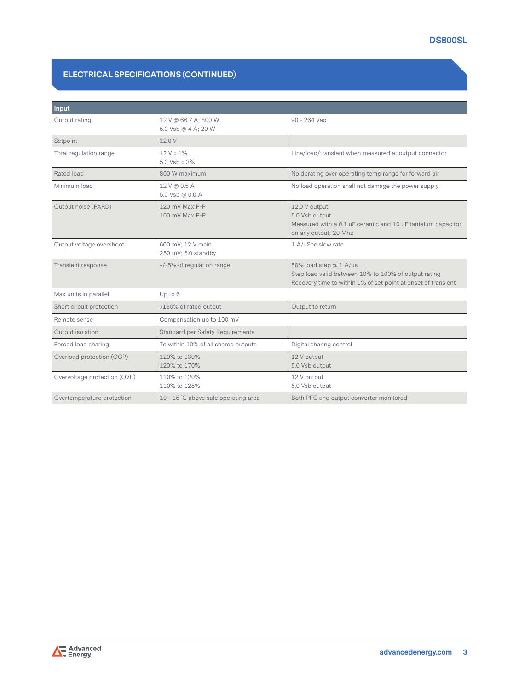# **DS800SL**

# **ELECTRICAL SPECIFICATIONS (CONTINUED)**

| <b>Input</b>                 |                                             |                                                                                                                                                 |
|------------------------------|---------------------------------------------|-------------------------------------------------------------------------------------------------------------------------------------------------|
| Output rating                | 12 V @ 66.7 A; 800 W<br>5.0 Vsb @ 4 A; 20 W | 90 - 264 Vac                                                                                                                                    |
| Setpoint                     | 12.0 V                                      |                                                                                                                                                 |
| Total regulation range       | $12 V \pm 1\%$<br>5.0 Vsb $\pm$ 3%          | Line/load/transient when measured at output connector                                                                                           |
| Rated load                   | 800 W maximum                               | No derating over operating temp range for forward air                                                                                           |
| Minimum load                 | 12 V @ 0.5 A<br>5.0 Vsb @ 0.0 A             | No load operation shall not damage the power supply                                                                                             |
| Output noise (PARD)          | 120 mV Max P-P<br>100 mV Max P-P            | 12.0 V output<br>5.0 Vsb output<br>Measured with a 0.1 uF ceramic and 10 uF tantalum capacitor<br>on any output; 20 Mhz                         |
| Output voltage overshoot     | 600 mV; 12 V main<br>250 mV; 5.0 standby    | 1 A/uSec slew rate                                                                                                                              |
| Transient response           | +/-5% of regulation range                   | 50% load step @ 1 A/us<br>Step load valid between 10% to 100% of output rating<br>Recovery time to within 1% of set point at onset of transient |
| Max units in parallel        | Up to 6                                     |                                                                                                                                                 |
| Short circuit protection     | >130% of rated output                       | Output to return                                                                                                                                |
| Remote sense                 | Compensation up to 100 mV                   |                                                                                                                                                 |
| Output isolation             | <b>Standard per Safety Requirements</b>     |                                                                                                                                                 |
| Forced load sharing          | To within 10% of all shared outputs         | Digital sharing control                                                                                                                         |
| Overload protection (OCP)    | 120% to 130%<br>120% to 170%                | 12 V output<br>5.0 Vsb output                                                                                                                   |
| Overvoltage protection (OVP) | 110% to 120%<br>110% to 125%                | 12 V output<br>5.0 Vsb output                                                                                                                   |
| Overtemperature protection   | 10 - 15 °C above safe operating area        | Both PFC and output converter monitored                                                                                                         |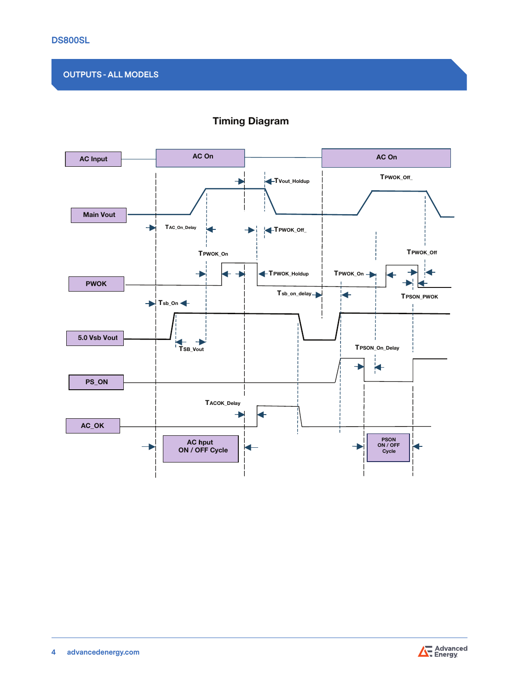# **OUTPUTS - ALL MODELS**



# Timing Diagram

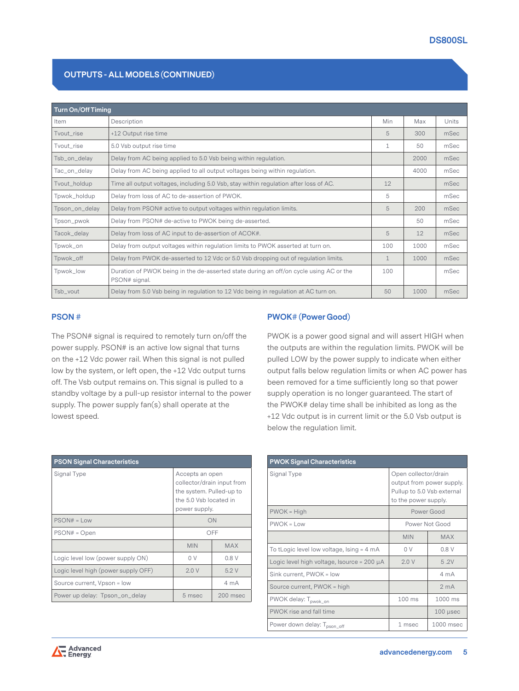# **OUTPUTS - ALL MODELS (CONTINUED)**

| <b>Turn On/Off Timing</b> |                                                                                                         |              |      |       |  |
|---------------------------|---------------------------------------------------------------------------------------------------------|--------------|------|-------|--|
| Item                      | Description                                                                                             | Min          | Max  | Units |  |
| Tvout_rise                | +12 Output rise time                                                                                    | 5            | 300  | mSec  |  |
| Tyout rise                | 5.0 Vsb output rise time                                                                                | $\mathbf{1}$ | 50   | mSec  |  |
| Tsb_on_delay              | Delay from AC being applied to 5.0 Vsb being within regulation.                                         |              | 2000 | mSec  |  |
| Tac_on_delay              | Delay from AC being applied to all output voltages being within regulation.                             |              | 4000 | mSec  |  |
| Tvout_holdup              | Time all output voltages, including 5.0 Vsb, stay within regulation after loss of AC.                   | 12           |      | mSec  |  |
| Tpwok_holdup              | Delay from loss of AC to de-assertion of PWOK.                                                          | 5            |      | mSec  |  |
| Tpson_on_delay            | Delay from PSON# active to output voltages within regulation limits.                                    | 5            | 200  | mSec  |  |
| Tpson_pwok                | Delay from PSON# de-active to PWOK being de-asserted.                                                   |              | 50   | mSec  |  |
| Tacok_delay               | Delay from loss of AC input to de-assertion of ACOK#.                                                   | 5            | 12   | mSec  |  |
| Tpwok_on                  | Delay from output voltages within regulation limits to PWOK asserted at turn on.                        | 100          | 1000 | mSec  |  |
| Tpwok_off                 | Delay from PWOK de-asserted to 12 Vdc or 5.0 Vsb dropping out of regulation limits.                     | $\mathbf{1}$ | 1000 | mSec  |  |
| Tpwok_low                 | Duration of PWOK being in the de-asserted state during an off/on cycle using AC or the<br>PSON# signal. | 100          |      | mSec  |  |
| Tsb_vout                  | Delay from 5.0 Vsb being in regulation to 12 Vdc being in regulation at AC turn on.                     | 50           | 1000 | mSec  |  |

### **PSON #**

The PSON# signal is required to remotely turn on/off the power supply. PSON# is an active low signal that turns on the +12 Vdc power rail. When this signal is not pulled low by the system, or left open, the +12 Vdc output turns off. The Vsb output remains on. This signal is pulled to a standby voltage by a pull-up resistor internal to the power supply. The power supply fan(s) shall operate at the lowest speed.

PWOK is a power good signal and will assert HIGH when the outputs are within the regulation limits. PWOK will be pulled LOW by the power supply to indicate when either output falls below regulation limits or when AC power has been removed for a time sufficiently long so that power supply operation is no longer guaranteed. The start of the PWOK# delay time shall be inhibited as long as the +12 Vdc output is in current limit or the 5.0 Vsb output is below the regulation limit.

| <b>PSON Signal Characteristics</b>  |                                                                                                                      |            |  |  |  |  |
|-------------------------------------|----------------------------------------------------------------------------------------------------------------------|------------|--|--|--|--|
| Signal Type                         | Accepts an open<br>collector/drain input from<br>the system. Pulled-up to<br>the 5.0 Vsb located in<br>power supply. |            |  |  |  |  |
| $PSON# = Low$                       | ON                                                                                                                   |            |  |  |  |  |
| $PSON# = Open$                      | OFF                                                                                                                  |            |  |  |  |  |
|                                     | <b>MIN</b>                                                                                                           | <b>MAX</b> |  |  |  |  |
| Logic level low (power supply ON)   | 0.8V<br>0 V                                                                                                          |            |  |  |  |  |
| Logic level high (power supply OFF) | 2.0V                                                                                                                 | 5.2V       |  |  |  |  |
| Source current, Vpson = low         |                                                                                                                      | 4 mA       |  |  |  |  |
| Power up delay: Tpson_on_delay      | 5 msec                                                                                                               | $200$ msec |  |  |  |  |

| <b>PWOK Signal Characteristics</b>              |                                                                                                         |                 |  |  |  |  |
|-------------------------------------------------|---------------------------------------------------------------------------------------------------------|-----------------|--|--|--|--|
| Signal Type                                     | Open collector/drain<br>output from power supply.<br>Pullup to 5.0 Vsb external<br>to the power supply. |                 |  |  |  |  |
| $PWOK = High$                                   | Power Good                                                                                              |                 |  |  |  |  |
| $PWOK = Low$                                    | Power Not Good                                                                                          |                 |  |  |  |  |
|                                                 | <b>MIN</b>                                                                                              | <b>MAX</b>      |  |  |  |  |
| To tLogic level low voltage, $lsing = 4 mA$     | 0 V                                                                                                     | 0.8V            |  |  |  |  |
| Logic level high voltage, Isource = $200 \mu A$ | 2.0V                                                                                                    | 5.2V            |  |  |  |  |
| Sink current, PWOK = low                        |                                                                                                         | $4 \text{ mA}$  |  |  |  |  |
| Source current, PWOK = high                     |                                                                                                         | 2 <sub>mA</sub> |  |  |  |  |
| PWOK delay: T <sub>pwok_on</sub>                | 100 ms                                                                                                  | 1000 ms         |  |  |  |  |
| PWOK rise and fall time                         |                                                                                                         | $100$ $\mu$ sec |  |  |  |  |
| Power down delay: T <sub>pson_off</sub>         | 1 msec                                                                                                  | 1000 msec       |  |  |  |  |

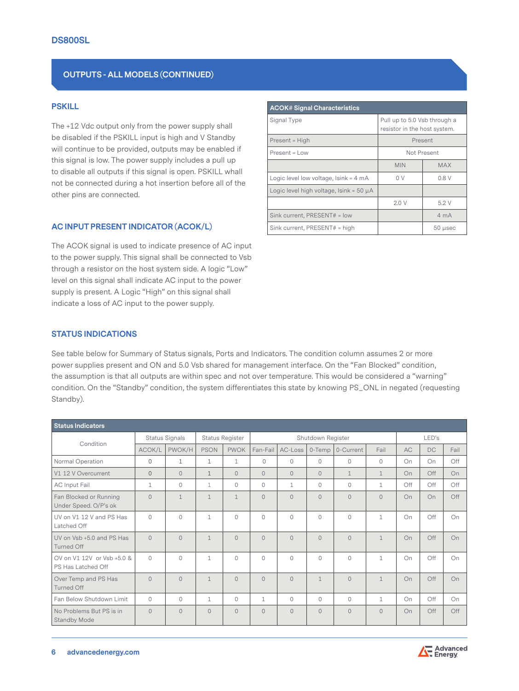# **OUTPUTS - ALL MODELS (CONTINUED)**

### **PSKILL**

The +12 Vdc output only from the power supply shall be disabled if the PSKILL input is high and V Standby will continue to be provided, outputs may be enabled if this signal is low. The power supply includes a pull up to disable all outputs if this signal is open. PSKILL whall not be connected during a hot insertion before all of the other pins are connected.

#### **AC INPUT PRESENT INDICATOR (ACOK/L)**

The ACOK signal is used to indicate presence of AC input to the power supply. This signal shall be connected to Vsb through a resistor on the host system side. A logic "Low" level on this signal shall indicate AC input to the power supply is present. A Logic "High" on this signal shall indicate a loss of AC input to the power supply.

| <b>ACOK# Signal Characteristics</b>          |                                                              |            |  |  |  |
|----------------------------------------------|--------------------------------------------------------------|------------|--|--|--|
| Signal Type                                  | Pull up to 5.0 Vsb through a<br>resistor in the host system. |            |  |  |  |
| Present = High                               | Present                                                      |            |  |  |  |
| $Present = Low$                              | Not Present                                                  |            |  |  |  |
|                                              | <b>MIN</b>                                                   | <b>MAX</b> |  |  |  |
| Logic level low voltage, $lsink = 4 mA$      | 0 V                                                          | 0.8V       |  |  |  |
| Logic level high voltage, $lsink = 50 \mu A$ |                                                              |            |  |  |  |
|                                              | 2.0V                                                         | 5.2V       |  |  |  |
| Sink current. PRESENT# = low                 |                                                              | 4 mA       |  |  |  |
| Sink current, PRESENT# = high                |                                                              | 50 µsec    |  |  |  |

#### **STATUS INDICATIONS**

See table below for Summary of Status signals, Ports and Indicators. The condition column assumes 2 or more power supplies present and ON and 5.0 Vsb shared for management interface. On the "Fan Blocked" condition, the assumption is that all outputs are within spec and not over temperature. This would be considered a "warning" condition. On the "Standby" condition, the system differentiates this state by knowing PS\_ONL in negated (requesting Standby).

| <b>Status Indicators</b>                         |             |                        |              |                   |                |                |              |              |              |           |           |      |
|--------------------------------------------------|-------------|------------------------|--------------|-------------------|----------------|----------------|--------------|--------------|--------------|-----------|-----------|------|
| Status Signals<br>Condition                      |             | <b>Status Register</b> |              | Shutdown Register |                |                | LED's        |              |              |           |           |      |
|                                                  | ACOK/L      | PWOK/H                 | <b>PSON</b>  | <b>PWOK</b>       | Fan-Fail       | AC-Loss        | 0-Temp       | 0-Current    | Fail         | <b>AC</b> | <b>DC</b> | Fail |
| Normal Operation                                 | $\Omega$    | $\mathbf{1}$           | $\mathbf{1}$ | $\mathbf{1}$      | $\Omega$       | $\Omega$       | $\circ$      | $\Omega$     | $\Omega$     | On        | On        | Off  |
| V1 12 V Overcurrent                              | $\Omega$    | $\circ$                | $\mathbf{1}$ | $\Omega$          | $\circ$        | $\circ$        | $\circ$      | $\mathbf{1}$ | $\mathbf 1$  | On        | Off       | On   |
| <b>AC Input Fail</b>                             | $\mathbf 1$ | $\circ$                | $\mathbf{1}$ | $\Omega$          | $\circ$        | $\mathbf{1}$   | $\circ$      | $\circ$      | $\mathbf 1$  | Off       | Off       | Off  |
| Fan Blocked or Running<br>Under Speed. O/P's ok  | $\Omega$    | $\mathbf{1}$           | $\mathbf{1}$ | $\mathbf{1}$      | $\overline{0}$ | $\Omega$       | $\circ$      | $\Omega$     | $\Omega$     | On        | On        | Off  |
| UV on V1 12 V and PS Has<br>Latched Off          | $\bigcap$   | $\Omega$               | $\mathbf{1}$ | $\Omega$          | $\circ$        | $\Omega$       | $\circ$      | $\Omega$     | $\mathbf{1}$ | On        | Off       | On   |
| UV on Vsb +5.0 and PS Has<br><b>Turned Off</b>   | $\Omega$    | $\Omega$               | $\mathbf{1}$ | $\Omega$          | $\Omega$       | $\Omega$       | $\Omega$     | $\Omega$     | $\mathbf{1}$ | On        | Off       | On   |
| OV on V1 12V or Vsb +5.0 &<br>PS Has Latched Off | $\bigcap$   | $\Omega$               | $\mathbf{1}$ | $\Omega$          | $\Omega$       | $\Omega$       | $\circ$      | $\Omega$     | $\mathbf{1}$ | On        | Off       | On   |
| Over Temp and PS Has<br><b>Turned Off</b>        | $\Omega$    | $\Omega$               | $\mathbf{1}$ | $\Omega$          | $\circ$        | $\Omega$       | $\mathbf{1}$ | $\Omega$     | $\mathbf{1}$ | On        | Off       | On   |
| Fan Below Shutdown Limit                         | $\bigcap$   | $\Omega$               | $\mathbf{1}$ | $\Omega$          | $\mathbf{1}$   | $\Omega$       | $\Omega$     | $\Omega$     | $\mathbf{1}$ | On        | Off       | On   |
| No Problems But PS is in<br><b>Standby Mode</b>  | $\Omega$    | $\Omega$               | $\circ$      | $\Omega$          | $\overline{0}$ | $\overline{0}$ | $\circ$      | $\Omega$     | $\Omega$     | On        | Off       | Off  |

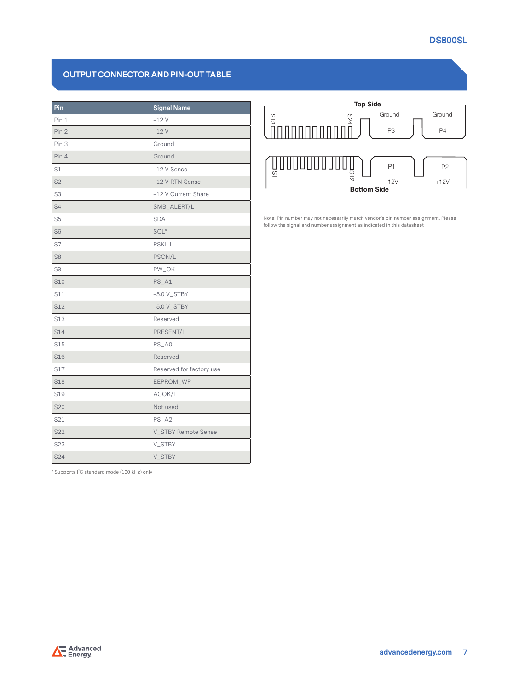# **DS800SL**

# **OUTPUT CONNECTOR AND PIN-OUT TABLE**

| Pin             | <b>Signal Name</b>       |
|-----------------|--------------------------|
| Pin 1           | $+12V$                   |
| Pin 2           | $+12V$                   |
| Pin 3           | Ground                   |
| Pin 4           | Ground                   |
| S1              | +12 V Sense              |
| S <sub>2</sub>  | +12 V RTN Sense          |
| S3              | +12 V Current Share      |
| S4              | SMB_ALERT/L              |
| S <sub>5</sub>  | <b>SDA</b>               |
| S <sub>6</sub>  | $SCL*$                   |
| S7              | <b>PSKILL</b>            |
| S <sub>8</sub>  | PSON/L                   |
| S9              | PW_OK                    |
| <b>S10</b>      | $PS_A1$                  |
| S11             | +5.0 V_STBY              |
| S12             | +5.0 V_STBY              |
| S13             | Reserved                 |
| S14             | PRESENT/L                |
| S15             | $PS_A0$                  |
| <b>S16</b>      | Reserved                 |
| S17             | Reserved for factory use |
| <b>S18</b>      | EEPROM_WP                |
| S <sub>19</sub> | ACOK/L                   |
| S20             | Not used                 |
| S21             | $PS_A2$                  |
| S22             | V_STBY Remote Sense      |
| S23             | V_STBY                   |
| S24             | V_STBY                   |

\* Supports I<sup>2</sup> C standard mode (100 kHz) only



Note: Pin number may not necessarily match vendor's pin number assignment. Please follow the signal and number assignment as indicated in this datasheet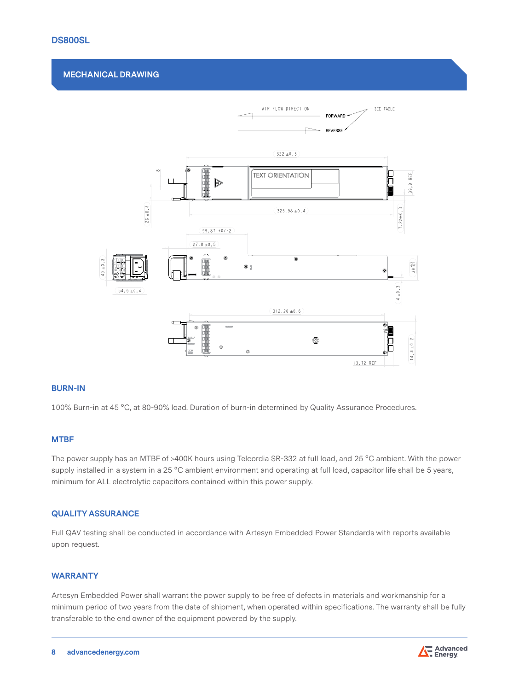### **DS800SL**

#### **MECHANICAL DRAWING**



#### **BURN-IN**

100% Burn-in at 45 °C, at 80-90% load. Duration of burn-in determined by Quality Assurance Procedures.

#### **MTBF**

The power supply has an MTBF of >400K hours using Telcordia SR-332 at full load, and 25 °C ambient. With the power supply installed in a system in a 25 °C ambient environment and operating at full load, capacitor life shall be 5 years, minimum for ALL electrolytic capacitors contained within this power supply.

#### **QUALITY ASSURANCE**

Full QAV testing shall be conducted in accordance with Artesyn Embedded Power Standards with reports available upon request.

#### **WARRANTY**

Artesyn Embedded Power shall warrant the power supply to be free of defects in materials and workmanship for a minimum period of two years from the date of shipment, when operated within specifications. The warranty shall be fully transferable to the end owner of the equipment powered by the supply.